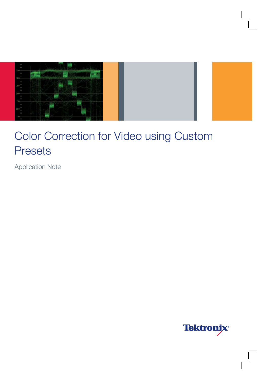

Application Note

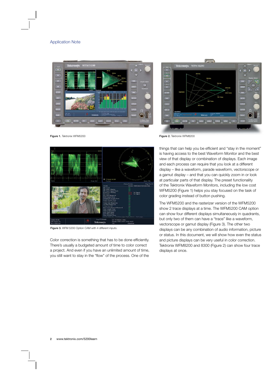



Figure 1. Tektronix WFM5200 **Figure 2. Tektronix WFM8200** 



Figure 3. WFM 5200 Option CAM with 4 different inputs.

Color correction is something that has to be done efficiently. There's usually a budgeted amount of time to color correct a project. And even if you have an unlimited amount of time, you still want to stay in the "flow" of the process. One of the

things that can help you be efficient and "stay in the moment" is having access to the best Waveform Monitor and the best view of that display or combination of displays. Each image and each process can require that you look at a different display – like a waveform, parade waveform, vectorscope or a gamut display – and that you can quickly zoom in or look at particular parts of that display. The preset functionality of the Tektronix Waveform Monitors, including the low cost WFM5200 (Figure 1) helps you stay focused on the task of color grading instead of button pushing.

The WFM5200 and the rasterizer version of the WFM5200 show 2 trace displays at a time. The WFM5200 CAM option can show four different displays simultaneously in quadrants, but only two of them can have a "trace" like a waveform, vectorscope or gamut display (Figure 3). The other two displays can be any combination of audio information, picture or status. In this document, we will show how even the status and picture displays can be very useful in color correction. Tektronix WFM8200 and 8300 (Figure 2) can show four trace displays at once.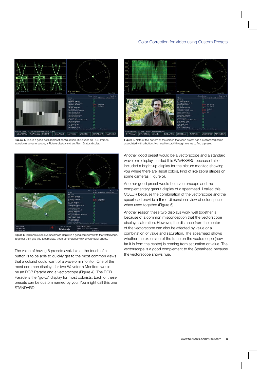



Figure 4. This is a good default preset configuration. It includes an RGB Parade Waveform, a vectorscope, a Picture display and an Alarm Status display.





The value of having 8 presets available at the touch of a button is to be able to quickly get to the most common views that a colorist could want of a waveform monitor. One of the most common displays for two Waveform Monitors would be an RGB Parade and a vectorscope (Figure 4). The RGB Parade is the "go-to" display for most colorists. Each of these presets can be custom named by you. You might call this one STANDARD.

**Figure 5.** Note at the bottom of the screen that each preset has a customized name associated with a button. No need to scroll through menus to find a preset.

Another good preset would be a vectorscope and a standard waveform display. I called this WAVESBRU because I also included a bright-up display for the picture monitor, showing you where there are illegal colors, kind of like zebra stripes on some cameras (Figure 5).

Another good preset would be a vectorscope and the complementary gamut display of a spearhead. I called this COLOR because the combination of the vectorscope and the spearhead provide a three-dimensional view of color space when used together (Figure 6).

Another reason these two displays work well together is because of a common misconception that the vectorscope displays saturation. However, the distance from the center of the vectorscope can also be affected by value or a combination of value and saturation. The spearhead shows whether the excursion of the trace on the vectorscope (how far it is from the center) is coming from saturation or value. The vectorscope is a good complement to the Spearhead because the vectorscope shows hue.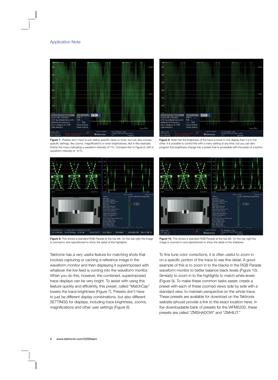



Figure 7. Presets don't have to just define specific views or tools, but can also include specific settings, like zooms, magnifications or even brightnesses, like in this example. Notice the menu indicating a waveform intensity of 7%. Compare this to Figure 8, with a waveform intensity of -31%.



Figure 9. This shows a standard RGB Parade at the top left. On the top right the image is zoomed in and repositioned to show the detail of the highlights.

Tektronix has a very useful feature for matching shots that involves capturing or caching a reference image in the waveform monitor and then displaying it superimposed with whatever the live feed is coming into the waveform monitor. When you do this, however, the combined, superimposed trace displays can be very bright. To assist with using this feature quickly and efficiently, this preset, called "MatchCap" lowers the trace brightness (Figure 7). Presets don't have to just be different display combinations, but also different SETTINGS for displays, including trace brightness, zooms, magnifications and other user settings (Figure 8).

**Figure 8.** Note that the brightness of the trace is lower in one display than it is in the other. It is possible to control this with a menu setting at any time, but you can also program this brightness change into a preset that is accessible with the press of a button.



Figure 10. This shows a standard RGB Parade at the top left. On the top right the image is zoomed in and repositioned to show the detail of the shadows.

To fine tune color corrections, it is often useful to zoom in on a specific portion of the trace to see fine detail. A good example of this is to zoom in to the blacks in the RGB Parade waveform monitor to better balance black levels (Figure 10). Similarly to zoom in to the highlights to match white levels (Figure 9). To make these common tasks easier, create a preset with each of these zoomed views side by side with a standard view, to maintain perspective on the whole trace. These presets are available for download on the Tektronix website (should provide a link to the exact location here). In the downloadable bank of presets for the WFM5200, these presets are called "ZMSHADOW" and "ZMHILIT."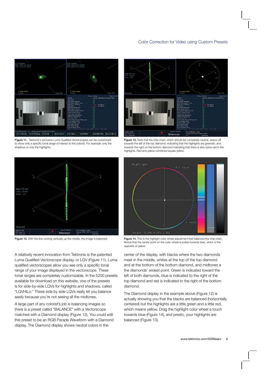







A relatively recent innovation from Tektronix is the patented Luma Qualified Vectorscope display, or LQV (Figure 11). Luma qualified vectorscopes allow you see only a specific tonal range of your image displayed in the vectorscope. These tonal ranges are completely customizable. In the 5200 presets available for download on this website, one of the presets is for side-by-side LQVs for highlights and shadows, called "LQVHiLo." These side by side LQVs really let you balance easily because you're not seeing all the midtones.

A large part of any colorist's job is balancing images so there is a preset called "BALANCE" with a Vectorscope matched with a Diamond display (Figure 12). You could edit this preset to be an RGB Parade Waveform with a Diamond display. The Diamond display shows neutral colors in the



Figure 12. Note that the chip chart, which should be completely neutral, skews off towards the left of the top diamond, indicating that the highlights are greenish, and towards the right on the bottom diamond indicating that there is also some red in the highlights. Red and yellow combined equals yellow.



Figure 13. With the line running vertically up the middle, the image is balanced. Figure 14. This is the highlight color wheel adjustment that balanced the chip chart. Notice that the center point on the color wheel is pulled towards blue, which is the opposite of yellow.

> center of the display, with blacks where the two diamonds meet in the middle, whites at the top of the top diamond and at the bottom of the bottom diamond, and midtones a the diamonds' widest point. Green is indicated toward the left of both diamonds, blue is indicated to the right of the top diamond and red is indicated to the right of the bottom diamond.

The Diamond display in the example above (Figure 12) is actually showing you that the blacks are balanced (horizontally centered) but the highlights are a little green and a little red, which means yellow. Drag the highlight color wheel a touch towards blue (Figure 14), and presto, your highlights are balanced (Figure 13).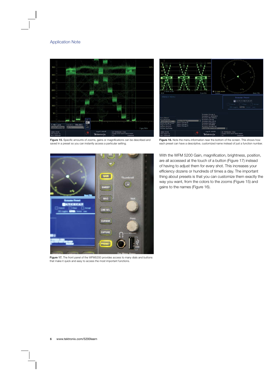



Figure 15. Specific amounts of zooms, gains or magnifications can be described and saved in a preset so you can instantly access a particular setting.





Figure 17. The front panel of the WFM5200 provides access to many dials and buttons that make it quick and easy to access the most important functions.

With the WFM 5200 Gain, magnification, brightness, position, are all accessed at the touch of a button (Figure 17) instead of having to adjust them for every shot. This increases your efficiency dozens or hundreds of times a day. The important thing about presets is that you can customize them exactly the way you want, from the colors to the zooms (Figure 15) and gains to the names (Figure 16).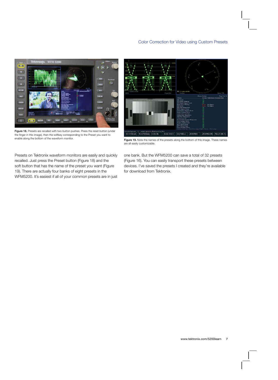

Figure 18. Presets are recalled with two button pushes. Press the reset button (under the finger in this image), then the softkey corresponding to the Preset you want to enable along the bottom of the waveform monitor.



Figure 19. Note the names of the presets along the bottom of this image. These names are all easily customizable.

Presets on Tektronix waveform monitors are easily and quickly recalled. Just press the Preset button (Figure 18) and the soft button that has the name of the preset you want (Figure 19). There are actually four banks of eight presets in the WFM5200. It's easiest if all of your common presets are in just one bank. But the WFM5200 can save a total of 32 presets (Figure 16). You can easily transport these presets between devices. I've saved the presets I created and they're available for download from Tektronix.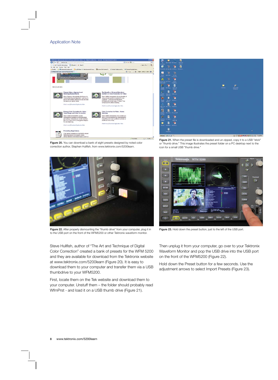

៊ ø ٣à j.  $\mathbf{z}$ Ħ ø  $\overline{6}$ ٩  $\frac{1}{2}$ 78  $\mathbf{a}$ Đ B  $\mathbf{h}$ H. E O  $\blacksquare$ B p  $\blacksquare$ R × B  $\Box$ O 01-CEN14003300 7:6P #start | # @@ \*

Figure 20. You can download a bank of eight presets designed by noted color correction author, Stephen Hullfish, from www.tektronix.com/5200learn.



æ

Figure 21. When the preset file is downloaded and un-zipped, copy it to a USB "stick" or "thumb drive." This image illustrates the preset folder on a PC desktop next to the

icon for a small USB "thumb drive."

ಿ



Figure 22. After properly dismounting the "thumb drive" from your computer, plug it in to the USB port on the front of the WFM5200 or other Tektronix waveform monitor.

Steve Hullfish, author of "The Art and Technique of Digital Color Correction" created a bank of presets for the WFM 5200 and they are available for download from the Tektronix website at www.tektronix.com/5200learn (Figure 20). It is easy to download them to your computer and transfer them via a USB thumbdrive to your WFM5200.

First, locate them on the Tek website and download them to your computer. Unstuff them – the folder should probably read WfmPrst - and load it on a USB thumb drive (Figure 21).



Figure 23. Hold down the preset button, just to the left of the USB port.

Then unplug it from your computer, go over to your Tektronix Waveform Monitor and pop the USB drive into the USB port on the front of the WFM5200 (Figure 22).

Hold down the Preset button for a few seconds. Use the adjustment arrows to select Import Presets (Figure 23).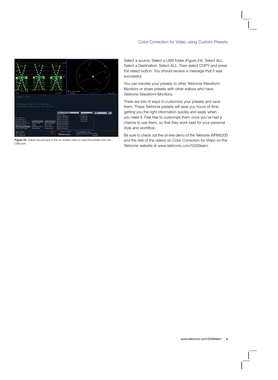

Figure 24. Follow the prompts in the on-screen menu to load the presets from the USB port.

Select a source. Select a USB folder (Figure 24). Select ALL. Select a Destination. Select ALL. Then select COPY and press the select button. You should receive a message that it was successful.

You can transfer your presets to other Tektronix Waveform Monitors or share presets with other editors who have Tektronix Waveform Monitors.

There are lots of ways to customize your presets and save them. These Tektronix presets will save you hours of time, getting you the right information quickly and easily when you need it. Feel free to customize them once you've had a chance to use them, so that they work best for your personal style and workflow.

Be sure to check out the on-line demo of the Tektronix WFM5200 and the rest of the videos on Color Correction for Video on the Tektronix website at www.tektronix.com/5200learn.